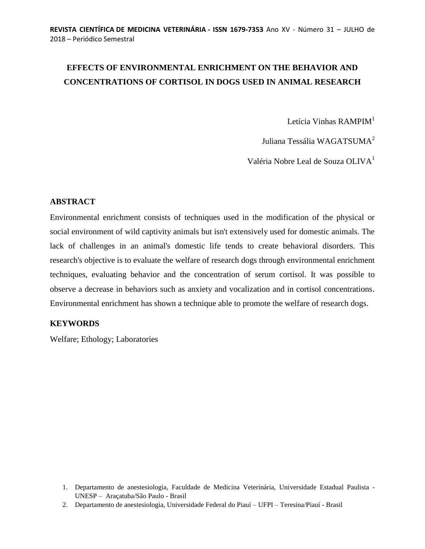# **EFFECTS OF ENVIRONMENTAL ENRICHMENT ON THE BEHAVIOR AND CONCENTRATIONS OF CORTISOL IN DOGS USED IN ANIMAL RESEARCH**

Letícia Vinhas RAMPIM<sup>1</sup>

Juliana Tessália WAGATSUMA<sup>2</sup>

Valéria Nobre Leal de Souza OLIVA<sup>1</sup>

## **ABSTRACT**

Environmental enrichment consists of techniques used in the modification of the physical or social environment of wild captivity animals but isn't extensively used for domestic animals. The lack of challenges in an animal's domestic life tends to create behavioral disorders. This research's objective is to evaluate the welfare of research dogs through environmental enrichment techniques, evaluating behavior and the concentration of serum cortisol. It was possible to observe a decrease in behaviors such as anxiety and vocalization and in cortisol concentrations. Environmental enrichment has shown a technique able to promote the welfare of research dogs.

## **KEYWORDS**

Welfare; Ethology; Laboratories

- 1. Departamento de anestesiologia, Faculdade de Medicina Veterinária, Universidade Estadual Paulista UNESP – Araçatuba/São Paulo - Brasil
- 2. Departamento de anestesiologia, Universidade Federal do Piauí UFPI Teresina/Piauí Brasil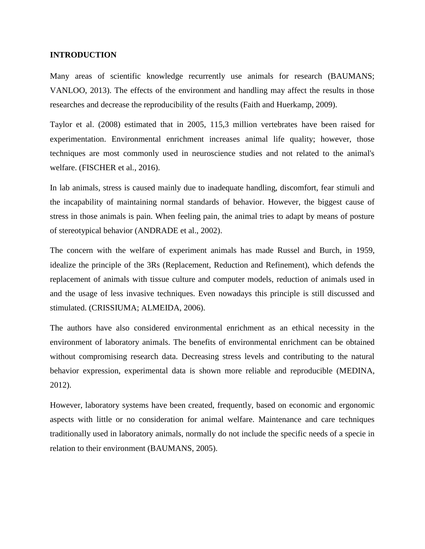## **INTRODUCTION**

Many areas of scientific knowledge recurrently use animals for research (BAUMANS; VANLOO, 2013). The effects of the environment and handling may affect the results in those researches and decrease the reproducibility of the results (Faith and Huerkamp, 2009).

Taylor et al. (2008) estimated that in 2005, 115,3 million vertebrates have been raised for experimentation. Environmental enrichment increases animal life quality; however, those techniques are most commonly used in neuroscience studies and not related to the animal's welfare. (FISCHER et al., 2016).

In lab animals, stress is caused mainly due to inadequate handling, discomfort, fear stimuli and the incapability of maintaining normal standards of behavior. However, the biggest cause of stress in those animals is pain. When feeling pain, the animal tries to adapt by means of posture of stereotypical behavior (ANDRADE et al., 2002).

The concern with the welfare of experiment animals has made Russel and Burch, in 1959, idealize the principle of the 3Rs (Replacement, Reduction and Refinement), which defends the replacement of animals with tissue culture and computer models, reduction of animals used in and the usage of less invasive techniques. Even nowadays this principle is still discussed and stimulated. (CRISSIUMA; ALMEIDA, 2006).

The authors have also considered environmental enrichment as an ethical necessity in the environment of laboratory animals. The benefits of environmental enrichment can be obtained without compromising research data. Decreasing stress levels and contributing to the natural behavior expression, experimental data is shown more reliable and reproducible (MEDINA, 2012).

However, laboratory systems have been created, frequently, based on economic and ergonomic aspects with little or no consideration for animal welfare. Maintenance and care techniques traditionally used in laboratory animals, normally do not include the specific needs of a specie in relation to their environment (BAUMANS, 2005).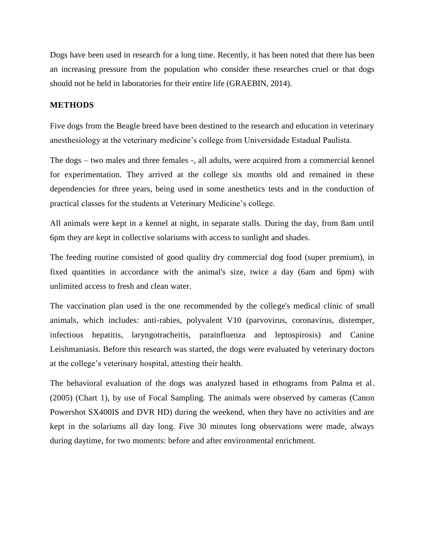Dogs have been used in research for a long time. Recently, it has been noted that there has been an increasing pressure from the population who consider these researches cruel or that dogs should not be held in laboratories for their entire life (GRAEBIN, 2014).

## **METHODS**

Five dogs from the Beagle breed have been destined to the research and education in veterinary anesthesiology at the veterinary medicine's college from Universidade Estadual Paulista.

The dogs – two males and three females -, all adults, were acquired from a commercial kennel for experimentation. They arrived at the college six months old and remained in these dependencies for three years, being used in some anesthetics tests and in the conduction of practical classes for the students at Veterinary Medicine's college.

All animals were kept in a kennel at night, in separate stalls. During the day, from 8am until 6pm they are kept in collective solariums with access to sunlight and shades.

The feeding routine consisted of good quality dry commercial dog food (super premium), in fixed quantities in accordance with the animal's size, twice a day (6am and 6pm) with unlimited access to fresh and clean water.

The vaccination plan used is the one recommended by the college's medical clinic of small animals, which includes: anti-rabies, polyvalent V10 (parvovirus, coronavirus, distemper, infectious hepatitis, laryngotracheitis, parainfluenza and leptospirosis) and Canine Leishmaniasis. Before this research was started, the dogs were evaluated by veterinary doctors at the college's veterinary hospital, attesting their health.

The behavioral evaluation of the dogs was analyzed based in ethograms from Palma et al. (2005) (Chart 1), by use of Focal Sampling. The animals were observed by cameras (Canon Powershot SX400IS and DVR HD) during the weekend, when they have no activities and are kept in the solariums all day long. Five 30 minutes long observations were made, always during daytime, for two moments: before and after environmental enrichment.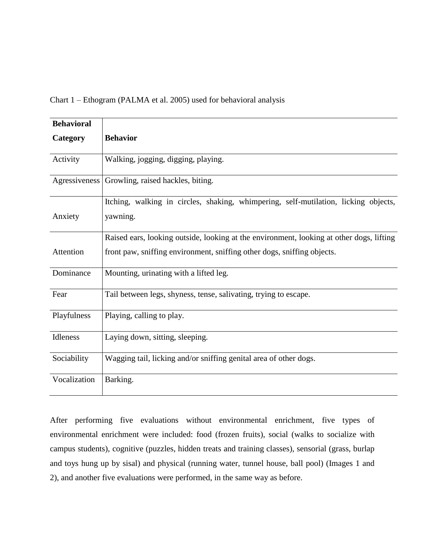Chart 1 – Ethogram (PALMA et al. 2005) used for behavioral analysis

| <b>Behavioral</b> |                                                                                                                                                                     |
|-------------------|---------------------------------------------------------------------------------------------------------------------------------------------------------------------|
| Category          | <b>Behavior</b>                                                                                                                                                     |
| Activity          | Walking, jogging, digging, playing.                                                                                                                                 |
| Agressiveness     | Growling, raised hackles, biting.                                                                                                                                   |
| Anxiety           | Itching, walking in circles, shaking, whimpering, self-mutilation, licking objects,<br>yawning.                                                                     |
| Attention         | Raised ears, looking outside, looking at the environment, looking at other dogs, lifting<br>front paw, sniffing environment, sniffing other dogs, sniffing objects. |
| Dominance         | Mounting, urinating with a lifted leg.                                                                                                                              |
| Fear              | Tail between legs, shyness, tense, salivating, trying to escape.                                                                                                    |
| Playfulness       | Playing, calling to play.                                                                                                                                           |
| Idleness          | Laying down, sitting, sleeping.                                                                                                                                     |
| Sociability       | Wagging tail, licking and/or sniffing genital area of other dogs.                                                                                                   |
| Vocalization      | Barking.                                                                                                                                                            |

After performing five evaluations without environmental enrichment, five types of environmental enrichment were included: food (frozen fruits), social (walks to socialize with campus students), cognitive (puzzles, hidden treats and training classes), sensorial (grass, burlap and toys hung up by sisal) and physical (running water, tunnel house, ball pool) (Images 1 and 2), and another five evaluations were performed, in the same way as before.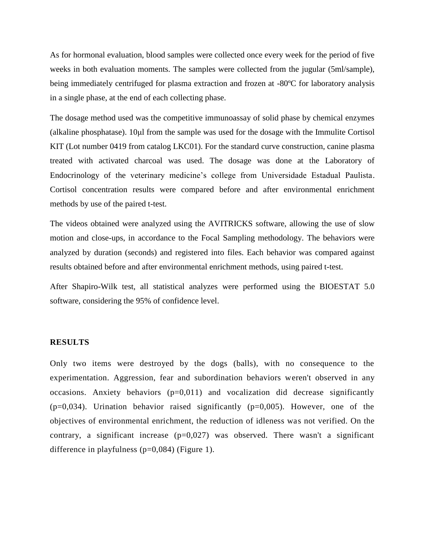As for hormonal evaluation, blood samples were collected once every week for the period of five weeks in both evaluation moments. The samples were collected from the jugular (5ml/sample), being immediately centrifuged for plasma extraction and frozen at -80ºC for laboratory analysis in a single phase, at the end of each collecting phase.

The dosage method used was the competitive immunoassay of solid phase by chemical enzymes (alkaline phosphatase). 10μl from the sample was used for the dosage with the Immulite Cortisol KIT (Lot number 0419 from catalog LKC01). For the standard curve construction, canine plasma treated with activated charcoal was used. The dosage was done at the Laboratory of Endocrinology of the veterinary medicine's college from Universidade Estadual Paulista. Cortisol concentration results were compared before and after environmental enrichment methods by use of the paired t-test.

The videos obtained were analyzed using the AVITRICKS software, allowing the use of slow motion and close-ups, in accordance to the Focal Sampling methodology. The behaviors were analyzed by duration (seconds) and registered into files. Each behavior was compared against results obtained before and after environmental enrichment methods, using paired t-test.

After Shapiro-Wilk test, all statistical analyzes were performed using the BIOESTAT 5.0 software, considering the 95% of confidence level.

## **RESULTS**

Only two items were destroyed by the dogs (balls), with no consequence to the experimentation. Aggression, fear and subordination behaviors weren't observed in any occasions. Anxiety behaviors  $(p=0,011)$  and vocalization did decrease significantly  $(p=0,034)$ . Urination behavior raised significantly  $(p=0,005)$ . However, one of the objectives of environmental enrichment, the reduction of idleness was not verified. On the contrary, a significant increase  $(p=0.027)$  was observed. There wasn't a significant difference in playfulness (p=0,084) (Figure 1).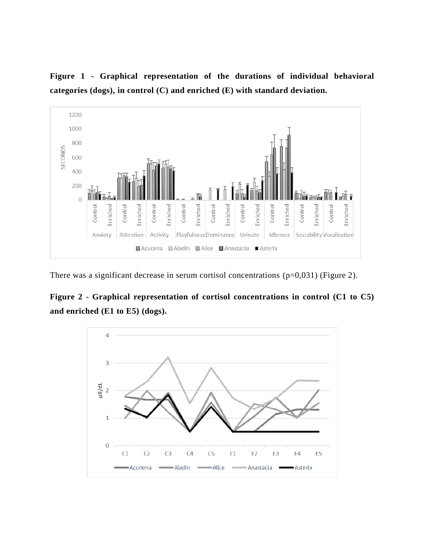



There was a significant decrease in serum cortisol concentrations  $(p=0,031)$  (Figure 2).

**Figure 2 - Graphical representation of cortisol concentrations in control (C1 to C5) and enriched (E1 to E5) (dogs).**

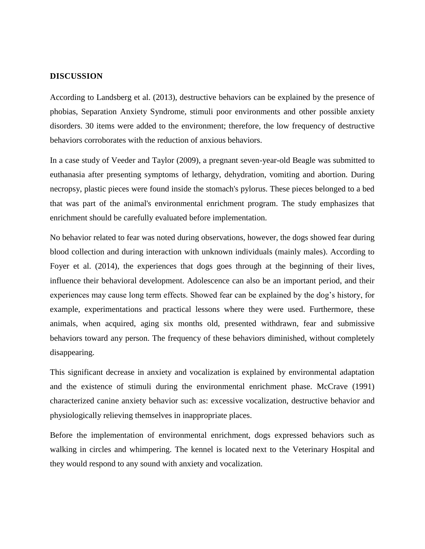#### **DISCUSSION**

According to Landsberg et al. (2013), destructive behaviors can be explained by the presence of phobias, Separation Anxiety Syndrome, stimuli poor environments and other possible anxiety disorders. 30 items were added to the environment; therefore, the low frequency of destructive behaviors corroborates with the reduction of anxious behaviors.

In a case study of Veeder and Taylor (2009), a pregnant seven-year-old Beagle was submitted to euthanasia after presenting symptoms of lethargy, dehydration, vomiting and abortion. During necropsy, plastic pieces were found inside the stomach's pylorus. These pieces belonged to a bed that was part of the animal's environmental enrichment program. The study emphasizes that enrichment should be carefully evaluated before implementation.

No behavior related to fear was noted during observations, however, the dogs showed fear during blood collection and during interaction with unknown individuals (mainly males). According to Foyer et al. (2014), the experiences that dogs goes through at the beginning of their lives, influence their behavioral development. Adolescence can also be an important period, and their experiences may cause long term effects. Showed fear can be explained by the dog's history, for example, experimentations and practical lessons where they were used. Furthermore, these animals, when acquired, aging six months old, presented withdrawn, fear and submissive behaviors toward any person. The frequency of these behaviors diminished, without completely disappearing.

This significant decrease in anxiety and vocalization is explained by environmental adaptation and the existence of stimuli during the environmental enrichment phase. McCrave (1991) characterized canine anxiety behavior such as: excessive vocalization, destructive behavior and physiologically relieving themselves in inappropriate places.

Before the implementation of environmental enrichment, dogs expressed behaviors such as walking in circles and whimpering. The kennel is located next to the Veterinary Hospital and they would respond to any sound with anxiety and vocalization.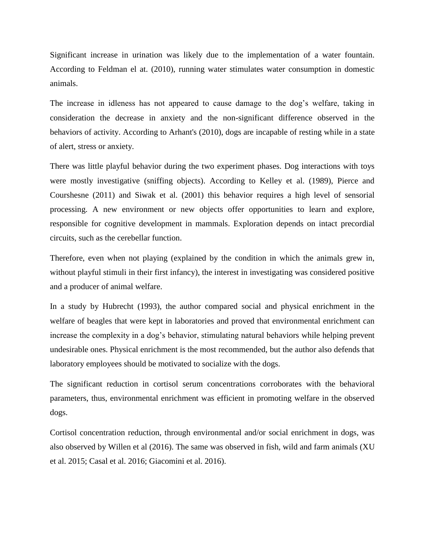Significant increase in urination was likely due to the implementation of a water fountain. According to Feldman el at. (2010), running water stimulates water consumption in domestic animals.

The increase in idleness has not appeared to cause damage to the dog's welfare, taking in consideration the decrease in anxiety and the non-significant difference observed in the behaviors of activity. According to Arhant's (2010), dogs are incapable of resting while in a state of alert, stress or anxiety.

There was little playful behavior during the two experiment phases. Dog interactions with toys were mostly investigative (sniffing objects). According to Kelley et al. (1989), Pierce and Courshesne (2011) and Siwak et al. (2001) this behavior requires a high level of sensorial processing. A new environment or new objects offer opportunities to learn and explore, responsible for cognitive development in mammals. Exploration depends on intact precordial circuits, such as the cerebellar function.

Therefore, even when not playing (explained by the condition in which the animals grew in, without playful stimuli in their first infancy), the interest in investigating was considered positive and a producer of animal welfare.

In a study by Hubrecht (1993), the author compared social and physical enrichment in the welfare of beagles that were kept in laboratories and proved that environmental enrichment can increase the complexity in a dog's behavior, stimulating natural behaviors while helping prevent undesirable ones. Physical enrichment is the most recommended, but the author also defends that laboratory employees should be motivated to socialize with the dogs.

The significant reduction in cortisol serum concentrations corroborates with the behavioral parameters, thus, environmental enrichment was efficient in promoting welfare in the observed dogs.

Cortisol concentration reduction, through environmental and/or social enrichment in dogs, was also observed by Willen et al (2016). The same was observed in fish, wild and farm animals (XU et al. 2015; Casal et al. 2016; Giacomini et al. 2016).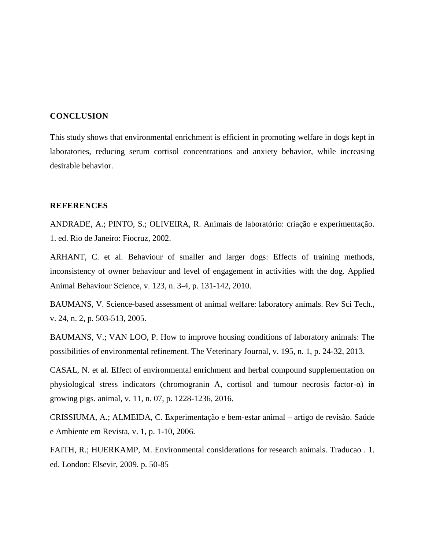## **CONCLUSION**

This study shows that environmental enrichment is efficient in promoting welfare in dogs kept in laboratories, reducing serum cortisol concentrations and anxiety behavior, while increasing desirable behavior.

### **REFERENCES**

ANDRADE, A.; PINTO, S.; OLIVEIRA, R. Animais de laboratório: criação e experimentação. 1. ed. Rio de Janeiro: Fiocruz, 2002.

ARHANT, C. et al. Behaviour of smaller and larger dogs: Effects of training methods, inconsistency of owner behaviour and level of engagement in activities with the dog. Applied Animal Behaviour Science, v. 123, n. 3-4, p. 131-142, 2010.

BAUMANS, V. Science-based assessment of animal welfare: laboratory animals. Rev Sci Tech., v. 24, n. 2, p. 503-513, 2005.

BAUMANS, V.; VAN LOO, P. How to improve housing conditions of laboratory animals: The possibilities of environmental refinement. The Veterinary Journal, v. 195, n. 1, p. 24-32, 2013.

CASAL, N. et al. Effect of environmental enrichment and herbal compound supplementation on physiological stress indicators (chromogranin A, cortisol and tumour necrosis factor-α) in growing pigs. animal, v. 11, n. 07, p. 1228-1236, 2016.

CRISSIUMA, A.; ALMEIDA, C. Experimentação e bem-estar animal – artigo de revisão. Saúde e Ambiente em Revista, v. 1, p. 1-10, 2006.

FAITH, R.; HUERKAMP, M. Environmental considerations for research animals. Traducao . 1. ed. London: Elsevir, 2009. p. 50-85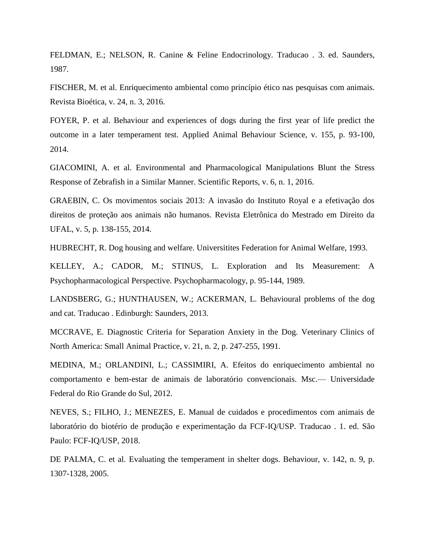FELDMAN, E.; NELSON, R. Canine & Feline Endocrinology. Traducao . 3. ed. Saunders, 1987.

FISCHER, M. et al. Enriquecimento ambiental como princípio ético nas pesquisas com animais. Revista Bioética, v. 24, n. 3, 2016.

FOYER, P. et al. Behaviour and experiences of dogs during the first year of life predict the outcome in a later temperament test. Applied Animal Behaviour Science, v. 155, p. 93-100, 2014.

GIACOMINI, A. et al. Environmental and Pharmacological Manipulations Blunt the Stress Response of Zebrafish in a Similar Manner. Scientific Reports, v. 6, n. 1, 2016.

GRAEBIN, C. Os movimentos sociais 2013: A invasão do Instituto Royal e a efetivação dos direitos de proteção aos animais não humanos. Revista Eletrônica do Mestrado em Direito da UFAL, v. 5, p. 138-155, 2014.

HUBRECHT, R. Dog housing and welfare. Universitites Federation for Animal Welfare, 1993.

KELLEY, A.; CADOR, M.; STINUS, L. Exploration and Its Measurement: A Psychopharmacological Perspective. Psychopharmacology, p. 95-144, 1989.

LANDSBERG, G.; HUNTHAUSEN, W.; ACKERMAN, L. Behavioural problems of the dog and cat. Traducao . Edinburgh: Saunders, 2013.

MCCRAVE, E. Diagnostic Criteria for Separation Anxiety in the Dog. Veterinary Clinics of North America: Small Animal Practice, v. 21, n. 2, p. 247-255, 1991.

MEDINA, M.; ORLANDINI, L.; CASSIMIRI, A. Efeitos do enriquecimento ambiental no comportamento e bem-estar de animais de laboratório convencionais. Msc.— Universidade Federal do Rio Grande do Sul, 2012.

NEVES, S.; FILHO, J.; MENEZES, E. Manual de cuidados e procedimentos com animais de laboratório do biotério de produção e experimentação da FCF-IQ/USP. Traducao . 1. ed. São Paulo: FCF-IQ/USP, 2018.

DE PALMA, C. et al. Evaluating the temperament in shelter dogs. Behaviour, v. 142, n. 9, p. 1307-1328, 2005.